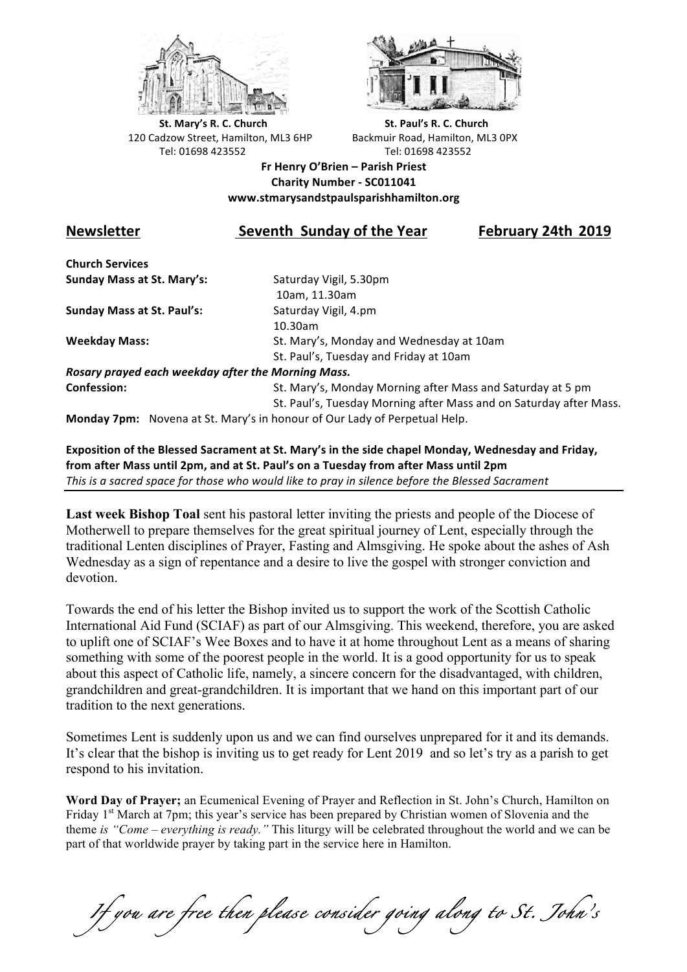



**St.** Mary's R. C. Church St. Paul's R. C. Church 120 Cadzow Street, Hamilton, ML3 6HP Backmuir Road, Hamilton, ML3 0PX Tel: 01698 423552 Tel: 01698 423552

**Fr Henry O'Brien – Parish Priest Charity Number - SC011041 www.stmarysandstpaulsparishhamilton.org**

## **Newsletter** Seventh Sunday of the Year February 24th 2019

**Church Services Sunday Mass at St. Mary's:** Saturday Vigil, 5.30pm

**Sunday Mass at St. Paul's:** Saturday Vigil, 4.pm

 10am, 11.30am 10.30am **Weekday Mass:** St. Mary's, Monday and Wednesday at 10am St. Paul's, Tuesday and Friday at 10am

*Rosary prayed each weekday after the Morning Mass.* **Confession:** St. Mary's, Monday Morning after Mass and Saturday at 5 pm

St. Paul's, Tuesday Morning after Mass and on Saturday after Mass.

**Monday 7pm:** Novena at St. Mary's in honour of Our Lady of Perpetual Help.

Exposition of the Blessed Sacrament at St. Mary's in the side chapel Monday, Wednesday and Friday, from after Mass until 2pm, and at St. Paul's on a Tuesday from after Mass until 2pm This is a sacred space for those who would like to pray in silence before the Blessed Sacrament

**Last week Bishop Toal** sent his pastoral letter inviting the priests and people of the Diocese of Motherwell to prepare themselves for the great spiritual journey of Lent, especially through the traditional Lenten disciplines of Prayer, Fasting and Almsgiving. He spoke about the ashes of Ash Wednesday as a sign of repentance and a desire to live the gospel with stronger conviction and devotion.

Towards the end of his letter the Bishop invited us to support the work of the Scottish Catholic International Aid Fund (SCIAF) as part of our Almsgiving. This weekend, therefore, you are asked to uplift one of SCIAF's Wee Boxes and to have it at home throughout Lent as a means of sharing something with some of the poorest people in the world. It is a good opportunity for us to speak about this aspect of Catholic life, namely, a sincere concern for the disadvantaged, with children, grandchildren and great-grandchildren. It is important that we hand on this important part of our tradition to the next generations.

Sometimes Lent is suddenly upon us and we can find ourselves unprepared for it and its demands. It's clear that the bishop is inviting us to get ready for Lent 2019 and so let's try as a parish to get respond to his invitation.

**Word Day of Prayer;** an Ecumenical Evening of Prayer and Reflection in St. John's Church, Hamilton on Friday 1<sup>st</sup> March at 7pm; this year's service has been prepared by Christian women of Slovenia and the theme *is "Come – everything is ready."* This liturgy will be celebrated throughout the world and we can be part of that worldwide prayer by taking part in the service here in Hamilton.

*If you are free then please consider going along to St. John's*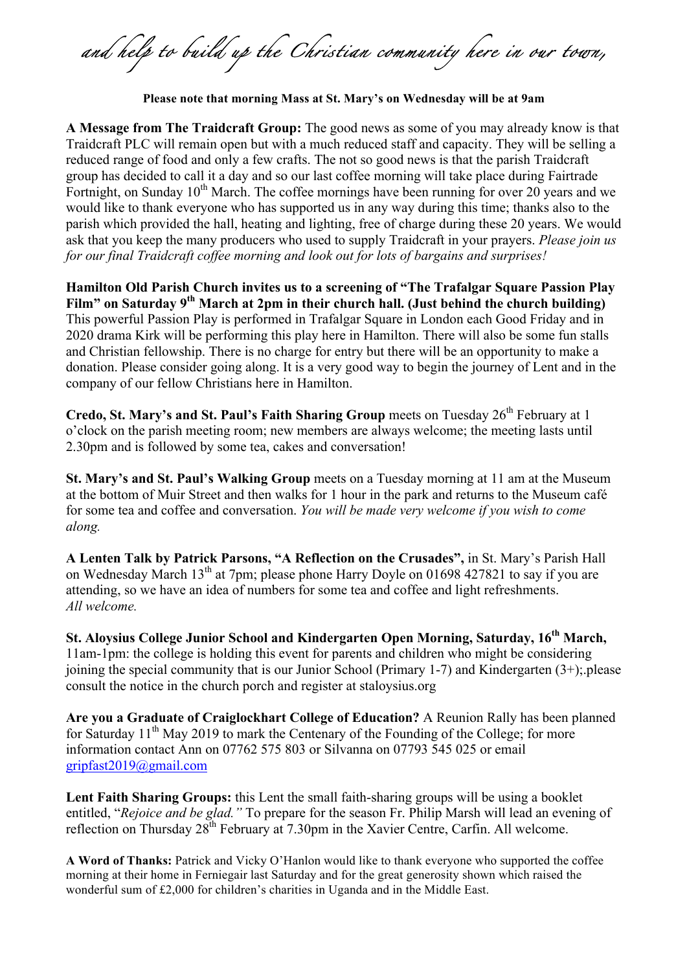*and help to build up the Christian community here in our town,* 

**Please note that morning Mass at St. Mary's on Wednesday will be at 9am**

**A Message from The Traidcraft Group:** The good news as some of you may already know is that Traidcraft PLC will remain open but with a much reduced staff and capacity. They will be selling a reduced range of food and only a few crafts. The not so good news is that the parish Traidcraft group has decided to call it a day and so our last coffee morning will take place during Fairtrade Fortnight, on Sunday  $10^{th}$  March. The coffee mornings have been running for over 20 years and we would like to thank everyone who has supported us in any way during this time; thanks also to the parish which provided the hall, heating and lighting, free of charge during these 20 years. We would ask that you keep the many producers who used to supply Traidcraft in your prayers. *Please join us for our final Traidcraft coffee morning and look out for lots of bargains and surprises!*

**Hamilton Old Parish Church invites us to a screening of "The Trafalgar Square Passion Play Film" on Saturday 9th March at 2pm in their church hall. (Just behind the church building)**  This powerful Passion Play is performed in Trafalgar Square in London each Good Friday and in 2020 drama Kirk will be performing this play here in Hamilton. There will also be some fun stalls and Christian fellowship. There is no charge for entry but there will be an opportunity to make a donation. Please consider going along. It is a very good way to begin the journey of Lent and in the company of our fellow Christians here in Hamilton.

**Credo, St. Mary's and St. Paul's Faith Sharing Group** meets on Tuesday 26<sup>th</sup> February at 1 o'clock on the parish meeting room; new members are always welcome; the meeting lasts until 2.30pm and is followed by some tea, cakes and conversation!

**St. Mary's and St. Paul's Walking Group** meets on a Tuesday morning at 11 am at the Museum at the bottom of Muir Street and then walks for 1 hour in the park and returns to the Museum café for some tea and coffee and conversation. *You will be made very welcome if you wish to come along.*

**A Lenten Talk by Patrick Parsons, "A Reflection on the Crusades",** in St. Mary's Parish Hall on Wednesday March 13<sup>th</sup> at 7pm; please phone Harry Doyle on 01698 427821 to say if you are attending, so we have an idea of numbers for some tea and coffee and light refreshments. *All welcome.*

**St. Aloysius College Junior School and Kindergarten Open Morning, Saturday, 16th March,**  11am-1pm: the college is holding this event for parents and children who might be considering joining the special community that is our Junior School (Primary 1-7) and Kindergarten (3+);.please consult the notice in the church porch and register at staloysius.org

**Are you a Graduate of Craiglockhart College of Education?** A Reunion Rally has been planned for Saturday 11<sup>th</sup> May 2019 to mark the Centenary of the Founding of the College; for more information contact Ann on 07762 575 803 or Silvanna on 07793 545 025 or email gripfast2019@gmail.com

**Lent Faith Sharing Groups:** this Lent the small faith-sharing groups will be using a booklet entitled, "*Rejoice and be glad."* To prepare for the season Fr. Philip Marsh will lead an evening of reflection on Thursday 28<sup>th</sup> February at 7.30pm in the Xavier Centre, Carfin. All welcome.

**A Word of Thanks:** Patrick and Vicky O'Hanlon would like to thank everyone who supported the coffee morning at their home in Ferniegair last Saturday and for the great generosity shown which raised the wonderful sum of £2,000 for children's charities in Uganda and in the Middle East.